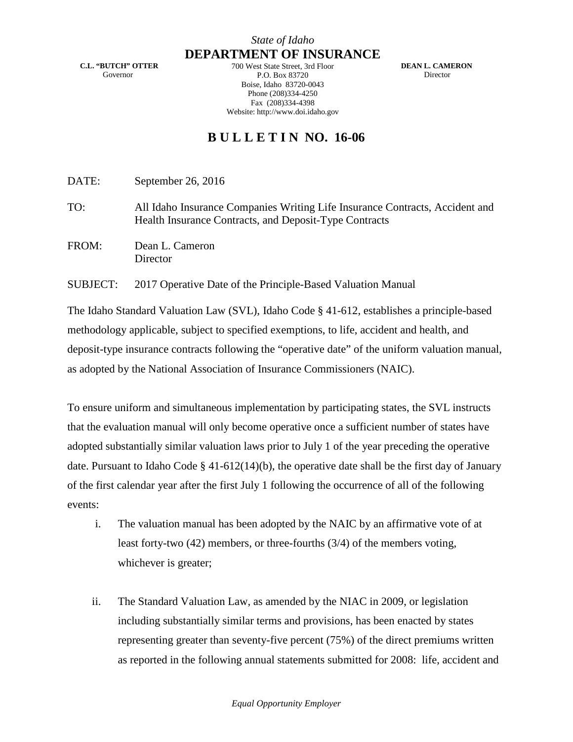**C.L. "BUTCH" OTTER** Governor

**DEPARTMENT OF INSURANCE** 700 West State Street, 3rd Floor P.O. Box 83720 Boise, Idaho 83720-0043 Phone (208)334-4250 Fax (208)334-4398 Website: http://www.doi.idaho.gov

 **DEAN L. CAMERON** Director

## **B U L L E T I N NO. 16-06**

DATE: September 26, 2016

TO: All Idaho Insurance Companies Writing Life Insurance Contracts, Accident and Health Insurance Contracts, and Deposit-Type Contracts

FROM: Dean L. Cameron **Director** 

SUBJECT: 2017 Operative Date of the Principle-Based Valuation Manual

The Idaho Standard Valuation Law (SVL), Idaho Code § 41-612, establishes a principle-based methodology applicable, subject to specified exemptions, to life, accident and health, and deposit-type insurance contracts following the "operative date" of the uniform valuation manual, as adopted by the National Association of Insurance Commissioners (NAIC).

To ensure uniform and simultaneous implementation by participating states, the SVL instructs that the evaluation manual will only become operative once a sufficient number of states have adopted substantially similar valuation laws prior to July 1 of the year preceding the operative date. Pursuant to Idaho Code § 41-612(14)(b), the operative date shall be the first day of January of the first calendar year after the first July 1 following the occurrence of all of the following events:

- i. The valuation manual has been adopted by the NAIC by an affirmative vote of at least forty-two (42) members, or three-fourths (3/4) of the members voting, whichever is greater;
- ii. The Standard Valuation Law, as amended by the NIAC in 2009, or legislation including substantially similar terms and provisions, has been enacted by states representing greater than seventy-five percent (75%) of the direct premiums written as reported in the following annual statements submitted for 2008: life, accident and